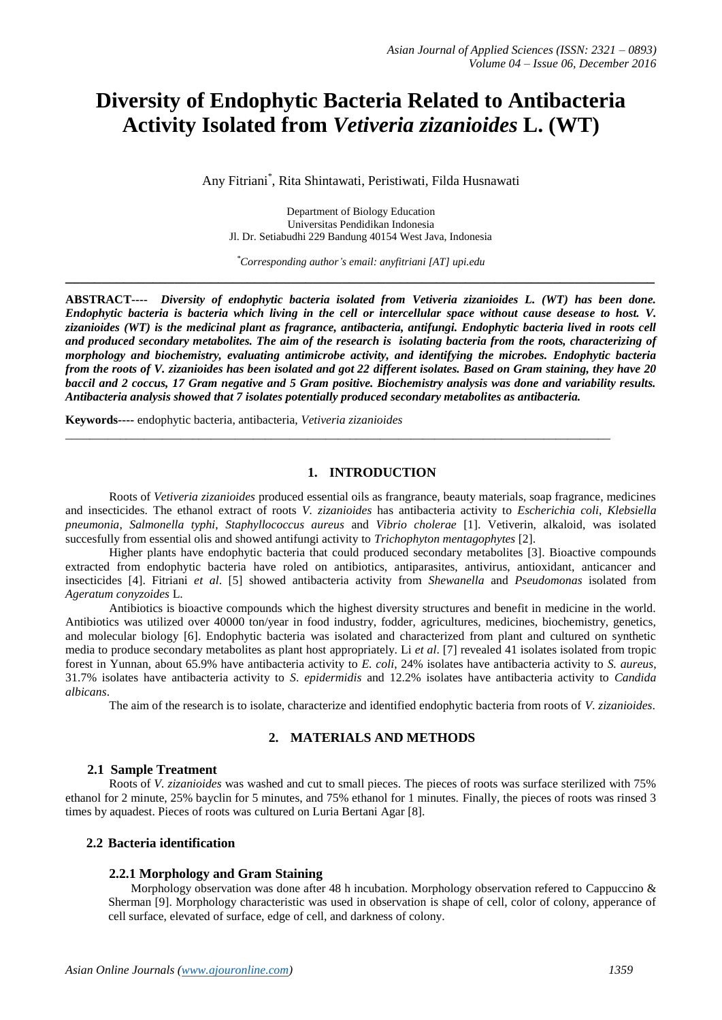# **Diversity of Endophytic Bacteria Related to Antibacteria Activity Isolated from** *Vetiveria zizanioides* **L. (WT)**

Any Fitriani\* , Rita Shintawati, Peristiwati, Filda Husnawati

Department of Biology Education Universitas Pendidikan Indonesia Jl. Dr. Setiabudhi 229 Bandung 40154 West Java, Indonesia

*\*Corresponding author's email: anyfitriani [AT] upi.edu* **\_\_\_\_\_\_\_\_\_\_\_\_\_\_\_\_\_\_\_\_\_\_\_\_\_\_\_\_\_\_\_\_\_\_\_\_\_\_\_\_\_\_\_\_\_\_\_\_\_\_\_\_\_\_\_\_\_\_\_\_\_\_\_\_\_\_\_\_\_\_\_\_\_\_\_\_\_\_\_\_\_**

**ABSTRACT----** *Diversity of endophytic bacteria isolated from Vetiveria zizanioides L. (WT) has been done. Endophytic bacteria is bacteria which living in the cell or intercellular space without cause desease to host. V. zizanioides (WT) is the medicinal plant as fragrance, antibacteria, antifungi. Endophytic bacteria lived in roots cell and produced secondary metabolites. The aim of the research is isolating bacteria from the roots, characterizing of morphology and biochemistry, evaluating antimicrobe activity, and identifying the microbes. Endophytic bacteria from the roots of V. zizanioides has been isolated and got 22 different isolates. Based on Gram staining, they have 20 baccil and 2 coccus, 17 Gram negative and 5 Gram positive. Biochemistry analysis was done and variability results. Antibacteria analysis showed that 7 isolates potentially produced secondary metabolites as antibacteria.*

\_\_\_\_\_\_\_\_\_\_\_\_\_\_\_\_\_\_\_\_\_\_\_\_\_\_\_\_\_\_\_\_\_\_\_\_\_\_\_\_\_\_\_\_\_\_\_\_\_\_\_\_\_\_\_\_\_\_\_\_\_\_\_\_\_\_\_\_\_\_\_\_\_\_\_\_\_\_\_\_\_\_\_\_\_\_\_\_\_\_

**Keywords----** endophytic bacteria, antibacteria, *Vetiveria zizanioides*

# **1. INTRODUCTION**

Roots of *Vetiveria zizanioides* produced essential oils as frangrance, beauty materials, soap fragrance, medicines and insecticides. The ethanol extract of roots *V. zizanioides* has antibacteria activity to *Escherichia coli*, *Klebsiella pneumonia*, *Salmonella typhi*, *Staphyllococcus aureus* and *Vibrio cholerae* [1]. Vetiverin, alkaloid, was isolated succesfully from essential olis and showed antifungi activity to *Trichophyton mentagophytes* [2].

Higher plants have endophytic bacteria that could produced secondary metabolites [3]. Bioactive compounds extracted from endophytic bacteria have roled on antibiotics, antiparasites, antivirus, antioxidant, anticancer and insecticides [4]. Fitriani *et al*. [5] showed antibacteria activity from *Shewanella* and *Pseudomonas* isolated from *Ageratum conyzoides* L.

Antibiotics is bioactive compounds which the highest diversity structures and benefit in medicine in the world. Antibiotics was utilized over 40000 ton/year in food industry, fodder, agricultures, medicines, biochemistry, genetics, and molecular biology [6]. Endophytic bacteria was isolated and characterized from plant and cultured on synthetic media to produce secondary metabolites as plant host appropriately. Li *et al*. [7] revealed 41 isolates isolated from tropic forest in Yunnan, about 65.9% have antibacteria activity to *E. coli*, 24% isolates have antibacteria activity to *S. aureus*, 31.7% isolates have antibacteria activity to *S*. *epidermidis* and 12.2% isolates have antibacteria activity to *Candida albicans*.

The aim of the research is to isolate, characterize and identified endophytic bacteria from roots of *V. zizanioides*.

## **2. MATERIALS AND METHODS**

#### **2.1 Sample Treatment**

Roots of *V. zizanioides* was washed and cut to small pieces. The pieces of roots was surface sterilized with 75% ethanol for 2 minute, 25% bayclin for 5 minutes, and 75% ethanol for 1 minutes. Finally, the pieces of roots was rinsed 3 times by aquadest. Pieces of roots was cultured on Luria Bertani Agar [8].

#### **2.2 Bacteria identification**

#### **2.2.1 Morphology and Gram Staining**

Morphology observation was done after 48 h incubation. Morphology observation refered to Cappuccino & Sherman [9]. Morphology characteristic was used in observation is shape of cell, color of colony, apperance of cell surface, elevated of surface, edge of cell, and darkness of colony.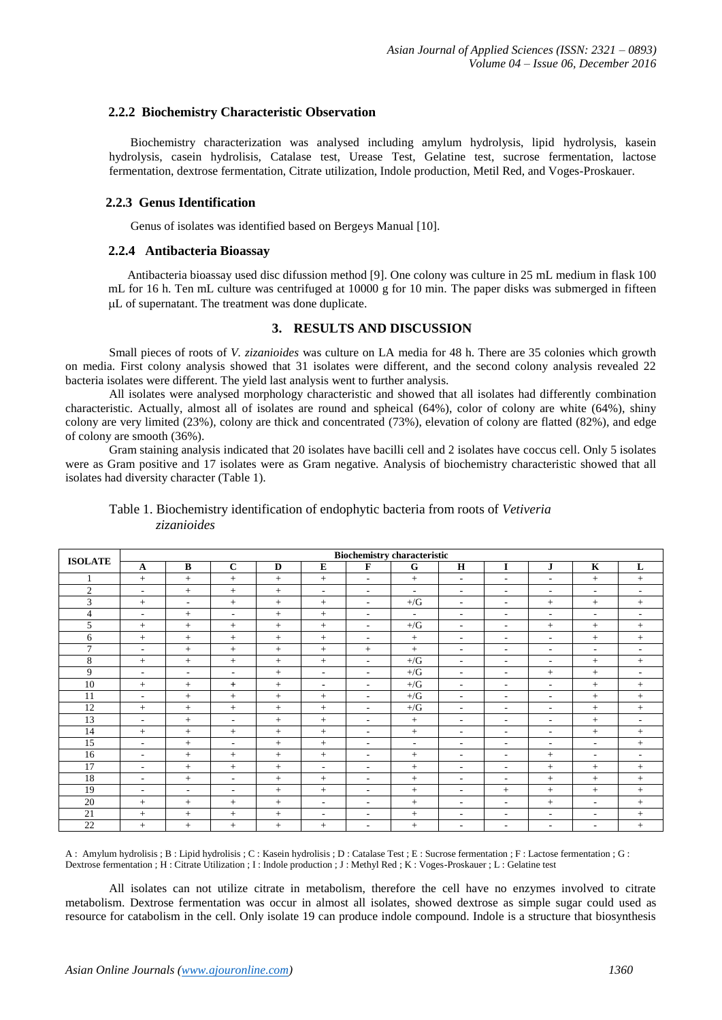## **2.2.2 Biochemistry Characteristic Observation**

 Biochemistry characterization was analysed including amylum hydrolysis, lipid hydrolysis, kasein hydrolysis, casein hydrolisis, Catalase test, Urease Test, Gelatine test, sucrose fermentation, lactose fermentation, dextrose fermentation, Citrate utilization, Indole production, Metil Red, and Voges-Proskauer.

#### **2.2.3 Genus Identification**

Genus of isolates was identified based on Bergeys Manual [10].

## **2.2.4 Antibacteria Bioassay**

 Antibacteria bioassay used disc difussion method [9]. One colony was culture in 25 mL medium in flask 100 mL for 16 h. Ten mL culture was centrifuged at 10000 g for 10 min. The paper disks was submerged in fifteen L of supernatant. The treatment was done duplicate.

# **3. RESULTS AND DISCUSSION**

Small pieces of roots of *V. zizanioides* was culture on LA media for 48 h. There are 35 colonies which growth on media. First colony analysis showed that 31 isolates were different, and the second colony analysis revealed 22 bacteria isolates were different. The yield last analysis went to further analysis.

All isolates were analysed morphology characteristic and showed that all isolates had differently combination characteristic. Actually, almost all of isolates are round and spheical (64%), color of colony are white (64%), shiny colony are very limited (23%), colony are thick and concentrated (73%), elevation of colony are flatted (82%), and edge of colony are smooth (36%).

Gram staining analysis indicated that 20 isolates have bacilli cell and 2 isolates have coccus cell. Only 5 isolates were as Gram positive and 17 isolates were as Gram negative. Analysis of biochemistry characteristic showed that all isolates had diversity character (Table 1).

# Table 1. Biochemistry identification of endophytic bacteria from roots of *Vetiveria zizanioides*

|                | <b>Biochemistry characteristic</b> |          |                          |     |                          |                          |                |                          |                          |           |                          |              |
|----------------|------------------------------------|----------|--------------------------|-----|--------------------------|--------------------------|----------------|--------------------------|--------------------------|-----------|--------------------------|--------------|
| <b>ISOLATE</b> | $\mathbf{A}$                       | $\bf{B}$ | $\mathbf C$              | D   | ${\bf E}$                | F                        | G              | H                        | I                        | ${\bf J}$ | $\bf K$                  | $\mathbf{L}$ |
| 1              | $+$                                | $+$      | $+$                      | $+$ | $+$                      | $\overline{\phantom{a}}$ | $+$            | $\overline{\phantom{a}}$ | $\overline{\phantom{a}}$ | $\sim$    | $+$                      | $+$          |
| 2              | $\overline{\phantom{a}}$           | $+$      | $+$                      | $+$ | $\overline{\phantom{a}}$ | $\overline{\phantom{a}}$ | $\sim$         | $\sim$                   | $\sim$                   | $\sim$    | $\overline{\phantom{a}}$ | $\sim$       |
| 3              | $+$                                | $\sim$   | $+$                      | $+$ | $+$                      | $\sim$                   | $+$ /G         | $\sim$                   | $\sim$                   | $+$       | $+$                      | $^{+}$       |
| $\overline{4}$ | $\overline{\phantom{a}}$           | $+$      | $\overline{\phantom{a}}$ | $+$ | $+$                      | $\sim$                   | $\sim$         | $\sim$                   | $\overline{\phantom{a}}$ | $\sim$    | $\overline{\phantom{a}}$ | $\sim$       |
| 5              | $+$                                | $+$      | $+$                      | $+$ | $+$                      | $\overline{\phantom{a}}$ | $+$ /G         | $\overline{\phantom{a}}$ | $\sim$                   | $+$       | $+$                      | $+$          |
| 6              | $+$                                | $+$      | $+$                      | $+$ | $+$                      | $\overline{\phantom{a}}$ |                | $\sim$                   | $\overline{\phantom{a}}$ | $\sim$    | $+$                      | $^{+}$       |
| $\tau$         | $\sim$                             | $+$      | $\! +$                   | $+$ | $+$                      | $\qquad \qquad +$        | $+$            | $\sim$                   | $\sim$                   | $\sim$    | $\sim$                   | $\sim$       |
| 8              | $^{+}$                             | $+$      | $+$                      | $+$ | $+$                      | $\sim$                   | $+/\mathrm{G}$ | $\sim$                   | $\sim$                   | $\sim$    | $+$                      | $^{+}$       |
| 9              | $\sim$                             | ÷        | $\sim$                   | $+$ | $\overline{\phantom{a}}$ | $\sim$                   | $+$ /G         | $\sim$                   | $\overline{\phantom{a}}$ | $+$       | $+$                      | $\sim$       |
| 10             | $+$                                | $+$      | $+$                      | $+$ | $\blacksquare$           | $\sim$                   | $+$ /G         | $\sim$                   | $\sim$                   | $\sim$    | $+$                      | $+$          |
| 11             | $\overline{\phantom{a}}$           | $+$      | $+$                      | $+$ | $+$                      | $\overline{\phantom{a}}$ | $+$ /G         | $\sim$                   | $\sim$                   | $\sim$    | $+$                      | $^{+}$       |
| 12             | $+$                                | $+$      | $+$                      | $+$ | $+$                      | $\overline{\phantom{a}}$ | $+$ /G         | $\sim$                   | $\sim$                   | $\sim$    | $+$                      | $^{+}$       |
| 13             | $\overline{\phantom{a}}$           | $+$      | $\overline{\phantom{a}}$ | $+$ | $+$                      | $\sim$                   | $+$            | $\sim$                   | $\sim$                   | $\sim$    | $+$                      | $\sim$       |
| 14             | $+$                                | $+$      | $+$                      | $+$ | $+$                      | $\overline{\phantom{a}}$ | $+$            | $\sim$                   | $\overline{\phantom{a}}$ | $\sim$    | $+$                      | $+$          |
| 15             | $\overline{\phantom{a}}$           | $+$      | $\overline{\phantom{a}}$ | $+$ | $+$                      | $\overline{\phantom{a}}$ | $\sim$         | $\sim$                   | $\sim$                   | $\sim$    | $\overline{\phantom{a}}$ | $^{+}$       |
| 16             | $\overline{\phantom{a}}$           | $+$      | $+$                      | $+$ | $+$                      | $\sim$                   | $+$            | $\sim$                   | $\sim$                   | $+$       | $\sim$                   | $\sim$       |
| 17             | $\sim$                             | $+$      | $+$                      | $+$ | $\sim$                   | $\sim$                   | $\! +$         | $\sim$                   | $\sim$                   | $+$       | $+$                      | $^{+}$       |
| 18             | $\sim$                             | $+$      | $\overline{\phantom{a}}$ | $+$ | $+$                      | $\sim$                   | $\! +$         | $\sim$                   | $\overline{\phantom{a}}$ | $+$       | $+$                      | $^{+}$       |
| 19             | $\sim$                             | $\sim$   | $\overline{\phantom{a}}$ | $+$ | $+$                      | ۰.                       | $+$            | $\sim$                   | $+$                      | $+$       | $+$                      | $+$          |
| 20             | $+$                                | $+$      | $+$                      | $+$ | $\overline{\phantom{a}}$ | $\overline{\phantom{a}}$ | $+$            | $\sim$                   | $\overline{\phantom{a}}$ | $+$       | $\overline{\phantom{a}}$ | $+$          |
| 21             | $+$                                | $+$      | $+$                      | $+$ | $\sim$                   | $\sim$                   | $+$            | $\sim$                   | $\sim$                   | $\sim$    | $\overline{\phantom{a}}$ | $+$          |
| 22             | $+$                                | $+$      | $+$                      | $+$ | $+$                      | $\overline{\phantom{a}}$ | $\! +$         | $\sim$                   | ٠                        | ٠         | $\overline{\phantom{a}}$ | $+$          |

A : Amylum hydrolisis ; B : Lipid hydrolisis ; C : Kasein hydrolisis ; D : Catalase Test ; E : Sucrose fermentation ; F : Lactose fermentation ; G : Dextrose fermentation ; H : Citrate Utilization ; I : Indole production ; J : Methyl Red ; K : Voges-Proskauer ; L : Gelatine test

All isolates can not utilize citrate in metabolism, therefore the cell have no enzymes involved to citrate metabolism. Dextrose fermentation was occur in almost all isolates, showed dextrose as simple sugar could used as resource for catabolism in the cell. Only isolate 19 can produce indole compound. Indole is a structure that biosynthesis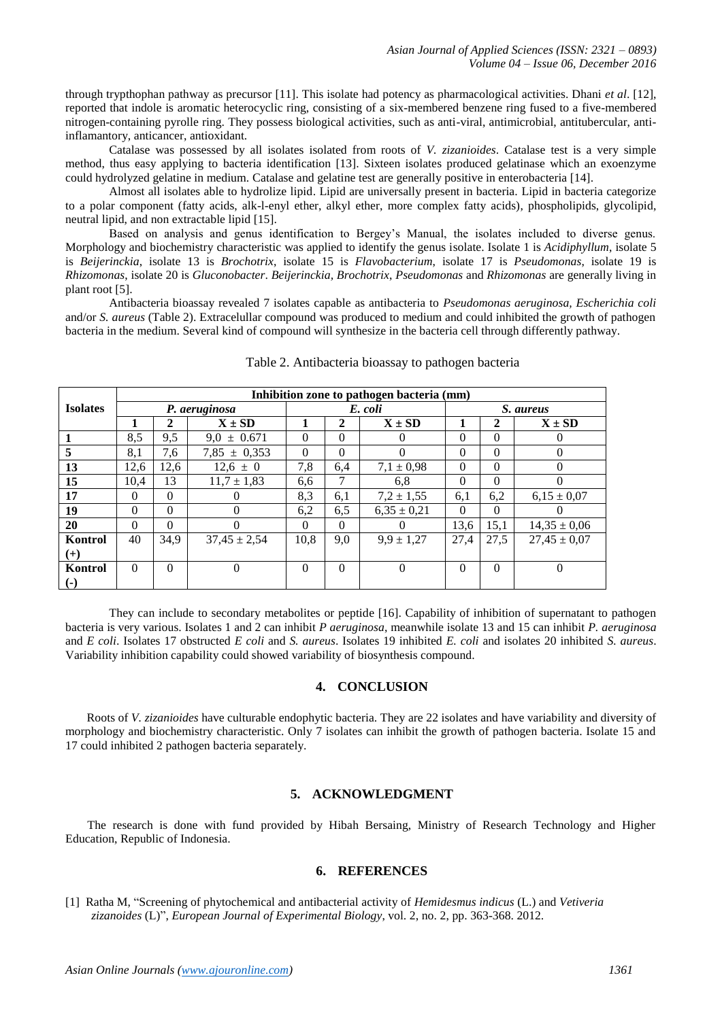through trypthophan pathway as precursor [11]. This isolate had potency as pharmacological activities. Dhani *et al*. [12], reported that indole is aromatic heterocyclic ring, consisting of a six-membered benzene ring fused to a five-membered nitrogen-containing pyrolle ring. They possess biological activities, such as anti-viral, antimicrobial, antitubercular, antiinflamantory, anticancer, antioxidant.

Catalase was possessed by all isolates isolated from roots of *V. zizanioides*. Catalase test is a very simple method, thus easy applying to bacteria identification [13]. Sixteen isolates produced gelatinase which an exoenzyme could hydrolyzed gelatine in medium. Catalase and gelatine test are generally positive in enterobacteria [14].

Almost all isolates able to hydrolize lipid. Lipid are universally present in bacteria. Lipid in bacteria categorize to a polar component (fatty acids, alk-l-enyl ether, alkyl ether, more complex fatty acids), phospholipids, glycolipid, neutral lipid, and non extractable lipid [15].

Based on analysis and genus identification to Bergey's Manual, the isolates included to diverse genus. Morphology and biochemistry characteristic was applied to identify the genus isolate. Isolate 1 is *Acidiphyllum*, isolate 5 is *Beijerinckia*, isolate 13 is *Brochotrix*, isolate 15 is *Flavobacterium*, isolate 17 is *Pseudomonas*, isolate 19 is *Rhizomonas*, isolate 20 is *Gluconobacter*. *Beijerinckia, Brochotrix*, *Pseudomonas* and *Rhizomonas* are generally living in plant root [5].

Antibacteria bioassay revealed 7 isolates capable as antibacteria to *Pseudomonas aeruginosa, Escherichia coli*  and/or *S. aureus* (Table 2). Extracelullar compound was produced to medium and could inhibited the growth of pathogen bacteria in the medium. Several kind of compound will synthesize in the bacteria cell through differently pathway.

|                        | Inhibition zone to pathogen bacteria (mm) |                |                  |          |          |                 |           |          |                  |  |
|------------------------|-------------------------------------------|----------------|------------------|----------|----------|-----------------|-----------|----------|------------------|--|
| <b>Isolates</b>        |                                           |                | P. aeruginosa    |          |          | E. coli         | S. aureus |          |                  |  |
|                        |                                           | $\overline{2}$ | $X \pm SD$       |          | 2        | $X \pm SD$      |           | 2        | $X \pm SD$       |  |
|                        | 8,5                                       | 9,5            | $9.0 \pm 0.671$  | $\Omega$ | $\theta$ | $\theta$        | $\Omega$  | $\theta$ | 0                |  |
| 5                      | 8,1                                       | 7,6            | $7,85 \pm 0,353$ | $\Omega$ | $\Omega$ | $\Omega$        | $\Omega$  | $\Omega$ | $\Omega$         |  |
| 13                     | 12,6                                      | 12,6           | $12.6 \pm 0$     | 7,8      | 6,4      | $7,1 \pm 0.98$  | $\Omega$  | $\Omega$ | $\Omega$         |  |
| 15                     | 10.4                                      | 13             | $11.7 \pm 1.83$  | 6,6      | 7        | 6,8             | $\theta$  | $\Omega$ | $\Omega$         |  |
| 17                     | $\Omega$                                  | $\Omega$       | 0                | 8,3      | 6,1      | $7.2 \pm 1.55$  | 6,1       | 6,2      | $6.15 \pm 0.07$  |  |
| 19                     | $\Omega$                                  | $\Omega$       | $\Omega$         | 6,2      | 6,5      | $6,35 \pm 0,21$ | $\Omega$  | $\Omega$ | $\theta$         |  |
| 20                     | $\Omega$                                  | $\Omega$       | 0                | $\Omega$ | $\Omega$ | $\Omega$        | 13,6      | 15,1     | $14,35 \pm 0,06$ |  |
| Kontrol                | 40                                        | 34,9           | $37,45 \pm 2,54$ | 10,8     | 9,0      | $9.9 \pm 1.27$  | 27.4      | 27,5     | $27,45 \pm 0,07$ |  |
| $(+)$                  |                                           |                |                  |          |          |                 |           |          |                  |  |
| Kontrol                | $\Omega$                                  | $\Omega$       | $\theta$         | $\Omega$ | $\theta$ | $\Omega$        | $\Omega$  | $\theta$ | $\theta$         |  |
| $\left( \cdot \right)$ |                                           |                |                  |          |          |                 |           |          |                  |  |

Table 2. Antibacteria bioassay to pathogen bacteria

They can include to secondary metabolites or peptide [16]. Capability of inhibition of supernatant to pathogen bacteria is very various. Isolates 1 and 2 can inhibit *P aeruginosa*, meanwhile isolate 13 and 15 can inhibit *P. aeruginosa* and *E coli*. Isolates 17 obstructed *E coli* and *S. aureus*. Isolates 19 inhibited *E. coli* and isolates 20 inhibited *S. aureus*. Variability inhibition capability could showed variability of biosynthesis compound.

## **4. CONCLUSION**

 Roots of *V. zizanioides* have culturable endophytic bacteria. They are 22 isolates and have variability and diversity of morphology and biochemistry characteristic. Only 7 isolates can inhibit the growth of pathogen bacteria. Isolate 15 and 17 could inhibited 2 pathogen bacteria separately.

# **5. ACKNOWLEDGMENT**

The research is done with fund provided by Hibah Bersaing, Ministry of Research Technology and Higher Education, Republic of Indonesia.

# **6. REFERENCES**

[1] Ratha M, "Screening of phytochemical and antibacterial activity of *Hemidesmus indicus* (L.) and *Vetiveria zizanoides* (L)", *European Journal of Experimental Biology*, vol. 2, no. 2, pp. 363-368. 2012.